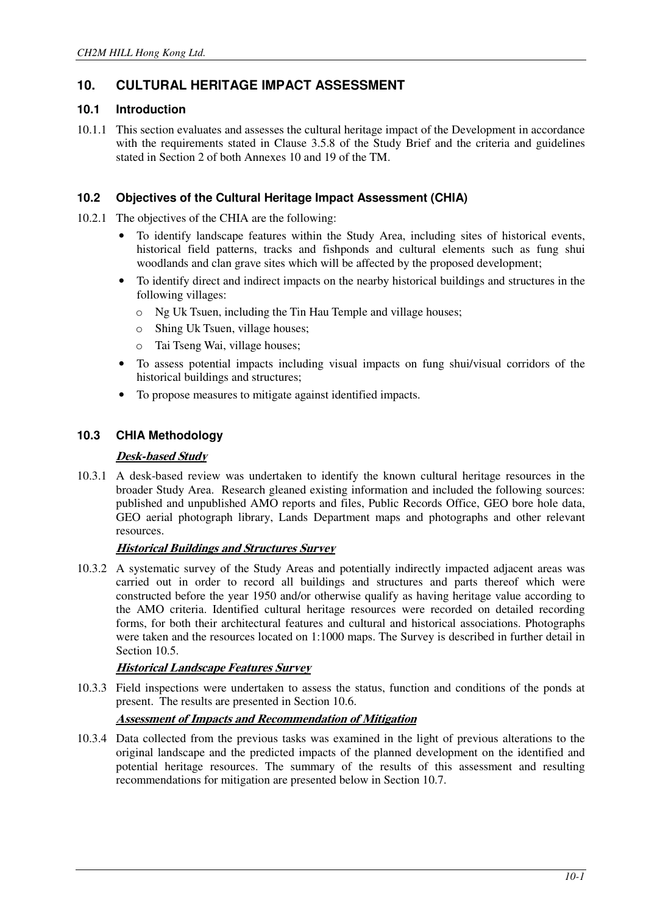# **10. CULTURAL HERITAGE IMPACT ASSESSMENT**

## **10.1 Introduction**

10.1.1 This section evaluates and assesses the cultural heritage impact of the Development in accordance with the requirements stated in Clause 3.5.8 of the Study Brief and the criteria and guidelines stated in Section 2 of both Annexes 10 and 19 of the TM.

## **10.2 Objectives of the Cultural Heritage Impact Assessment (CHIA)**

- 10.2.1 The objectives of the CHIA are the following:
	- To identify landscape features within the Study Area, including sites of historical events, historical field patterns, tracks and fishponds and cultural elements such as fung shui woodlands and clan grave sites which will be affected by the proposed development;
	- To identify direct and indirect impacts on the nearby historical buildings and structures in the following villages:
		- o Ng Uk Tsuen, including the Tin Hau Temple and village houses;
		- o Shing Uk Tsuen, village houses;
		- o Tai Tseng Wai, village houses;
	- To assess potential impacts including visual impacts on fung shui/visual corridors of the historical buildings and structures;
	- To propose measures to mitigate against identified impacts.

## **10.3 CHIA Methodology**

## **Desk-based Study**

10.3.1 A desk-based review was undertaken to identify the known cultural heritage resources in the broader Study Area. Research gleaned existing information and included the following sources: published and unpublished AMO reports and files, Public Records Office, GEO bore hole data, GEO aerial photograph library, Lands Department maps and photographs and other relevant resources.

## **Historical Buildings and Structures Survey**

10.3.2 A systematic survey of the Study Areas and potentially indirectly impacted adjacent areas was carried out in order to record all buildings and structures and parts thereof which were constructed before the year 1950 and/or otherwise qualify as having heritage value according to the AMO criteria. Identified cultural heritage resources were recorded on detailed recording forms, for both their architectural features and cultural and historical associations. Photographs were taken and the resources located on 1:1000 maps. The Survey is described in further detail in Section 10.5.

## **Historical Landscape Features Survey**

10.3.3 Field inspections were undertaken to assess the status, function and conditions of the ponds at present. The results are presented in Section 10.6.

## **Assessment of Impacts and Recommendation of Mitigation**

10.3.4 Data collected from the previous tasks was examined in the light of previous alterations to the original landscape and the predicted impacts of the planned development on the identified and potential heritage resources. The summary of the results of this assessment and resulting recommendations for mitigation are presented below in Section 10.7.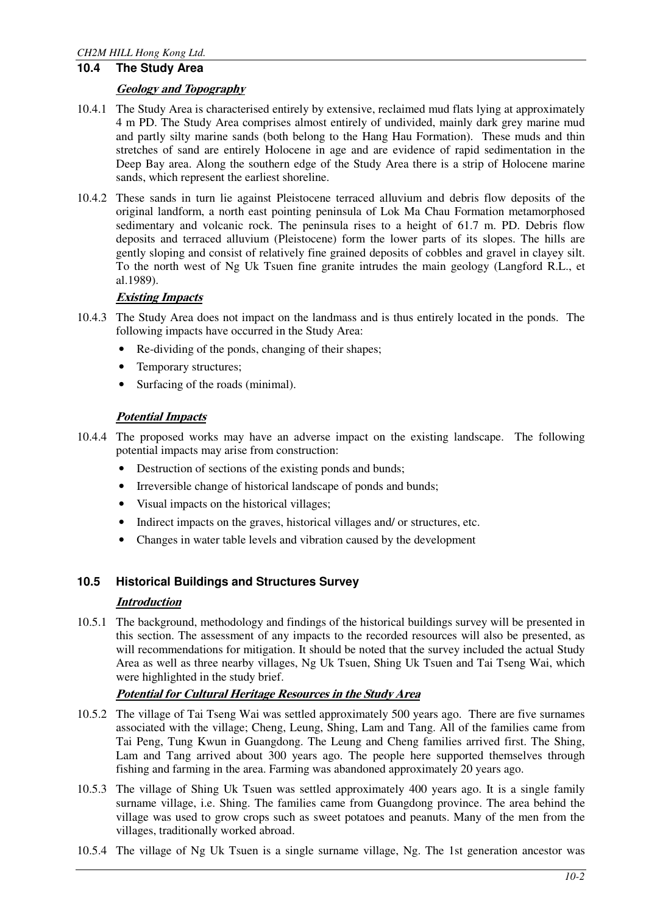# **10.4 The Study Area**

#### **Geology and Topography**

- 10.4.1 The Study Area is characterised entirely by extensive, reclaimed mud flats lying at approximately 4 m PD. The Study Area comprises almost entirely of undivided, mainly dark grey marine mud and partly silty marine sands (both belong to the Hang Hau Formation). These muds and thin stretches of sand are entirely Holocene in age and are evidence of rapid sedimentation in the Deep Bay area. Along the southern edge of the Study Area there is a strip of Holocene marine sands, which represent the earliest shoreline.
- 10.4.2 These sands in turn lie against Pleistocene terraced alluvium and debris flow deposits of the original landform, a north east pointing peninsula of Lok Ma Chau Formation metamorphosed sedimentary and volcanic rock. The peninsula rises to a height of 61.7 m. PD. Debris flow deposits and terraced alluvium (Pleistocene) form the lower parts of its slopes. The hills are gently sloping and consist of relatively fine grained deposits of cobbles and gravel in clayey silt. To the north west of Ng Uk Tsuen fine granite intrudes the main geology (Langford R.L., et al.1989).

## **Existing Impacts**

- 10.4.3 The Study Area does not impact on the landmass and is thus entirely located in the ponds. The following impacts have occurred in the Study Area:
	- Re-dividing of the ponds, changing of their shapes;
	- Temporary structures:
	- Surfacing of the roads (minimal).

#### **Potential Impacts**

- 10.4.4 The proposed works may have an adverse impact on the existing landscape. The following potential impacts may arise from construction:
	- Destruction of sections of the existing ponds and bunds;
	- Irreversible change of historical landscape of ponds and bunds;
	- Visual impacts on the historical villages;
	- Indirect impacts on the graves, historical villages and/ or structures, etc.
	- Changes in water table levels and vibration caused by the development

## **10.5 Historical Buildings and Structures Survey**

#### **Introduction**

10.5.1 The background, methodology and findings of the historical buildings survey will be presented in this section. The assessment of any impacts to the recorded resources will also be presented, as will recommendations for mitigation. It should be noted that the survey included the actual Study Area as well as three nearby villages, Ng Uk Tsuen, Shing Uk Tsuen and Tai Tseng Wai, which were highlighted in the study brief.

## **Potential for Cultural Heritage Resources in the Study Area**

- 10.5.2 The village of Tai Tseng Wai was settled approximately 500 years ago. There are five surnames associated with the village; Cheng, Leung, Shing, Lam and Tang. All of the families came from Tai Peng, Tung Kwun in Guangdong. The Leung and Cheng families arrived first. The Shing, Lam and Tang arrived about 300 years ago. The people here supported themselves through fishing and farming in the area. Farming was abandoned approximately 20 years ago.
- 10.5.3 The village of Shing Uk Tsuen was settled approximately 400 years ago. It is a single family surname village, i.e. Shing. The families came from Guangdong province. The area behind the village was used to grow crops such as sweet potatoes and peanuts. Many of the men from the villages, traditionally worked abroad.
- 10.5.4 The village of Ng Uk Tsuen is a single surname village, Ng. The 1st generation ancestor was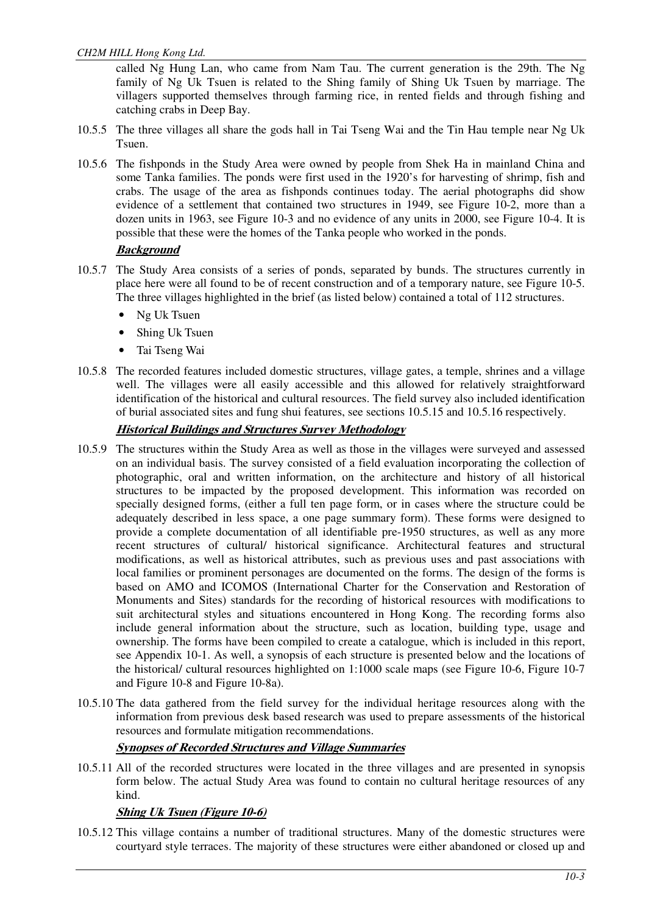called Ng Hung Lan, who came from Nam Tau. The current generation is the 29th. The Ng family of Ng Uk Tsuen is related to the Shing family of Shing Uk Tsuen by marriage. The villagers supported themselves through farming rice, in rented fields and through fishing and catching crabs in Deep Bay.

- 10.5.5 The three villages all share the gods hall in Tai Tseng Wai and the Tin Hau temple near Ng Uk Tsuen.
- 10.5.6 The fishponds in the Study Area were owned by people from Shek Ha in mainland China and some Tanka families. The ponds were first used in the 1920's for harvesting of shrimp, fish and crabs. The usage of the area as fishponds continues today. The aerial photographs did show evidence of a settlement that contained two structures in 1949, see Figure 10-2, more than a dozen units in 1963, see Figure 10-3 and no evidence of any units in 2000, see Figure 10-4. It is possible that these were the homes of the Tanka people who worked in the ponds.

## **Background**

- 10.5.7 The Study Area consists of a series of ponds, separated by bunds. The structures currently in place here were all found to be of recent construction and of a temporary nature, see Figure 10-5. The three villages highlighted in the brief (as listed below) contained a total of 112 structures.
	- Ng Uk Tsuen
	- Shing Uk Tsuen
	- Tai Tseng Wai
- 10.5.8 The recorded features included domestic structures, village gates, a temple, shrines and a village well. The villages were all easily accessible and this allowed for relatively straightforward identification of the historical and cultural resources. The field survey also included identification of burial associated sites and fung shui features, see sections 10.5.15 and 10.5.16 respectively.

## **Historical Buildings and Structures Survey Methodology**

- 10.5.9 The structures within the Study Area as well as those in the villages were surveyed and assessed on an individual basis. The survey consisted of a field evaluation incorporating the collection of photographic, oral and written information, on the architecture and history of all historical structures to be impacted by the proposed development. This information was recorded on specially designed forms, (either a full ten page form, or in cases where the structure could be adequately described in less space, a one page summary form). These forms were designed to provide a complete documentation of all identifiable pre-1950 structures, as well as any more recent structures of cultural/ historical significance. Architectural features and structural modifications, as well as historical attributes, such as previous uses and past associations with local families or prominent personages are documented on the forms. The design of the forms is based on AMO and ICOMOS (International Charter for the Conservation and Restoration of Monuments and Sites) standards for the recording of historical resources with modifications to suit architectural styles and situations encountered in Hong Kong. The recording forms also include general information about the structure, such as location, building type, usage and ownership. The forms have been compiled to create a catalogue, which is included in this report, see Appendix 10-1. As well, a synopsis of each structure is presented below and the locations of the historical/ cultural resources highlighted on 1:1000 scale maps (see Figure 10-6, Figure 10-7 and Figure 10-8 and Figure 10-8a).
- 10.5.10 The data gathered from the field survey for the individual heritage resources along with the information from previous desk based research was used to prepare assessments of the historical resources and formulate mitigation recommendations.

# **Synopses of Recorded Structures and Village Summaries**

10.5.11 All of the recorded structures were located in the three villages and are presented in synopsis form below. The actual Study Area was found to contain no cultural heritage resources of any kind.

# **Shing Uk Tsuen (Figure 10-6)**

10.5.12 This village contains a number of traditional structures. Many of the domestic structures were courtyard style terraces. The majority of these structures were either abandoned or closed up and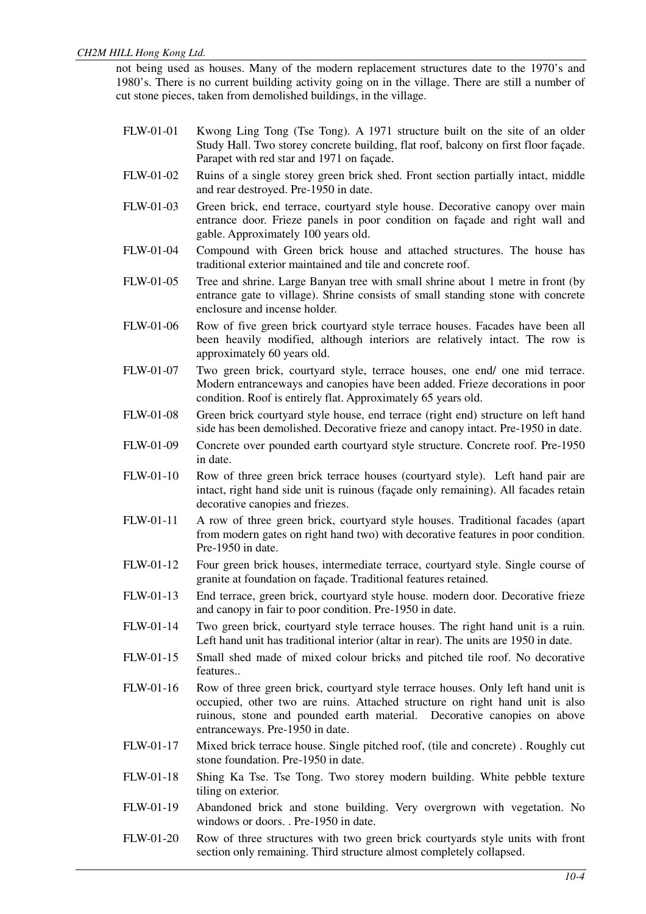not being used as houses. Many of the modern replacement structures date to the 1970's and 1980's. There is no current building activity going on in the village. There are still a number of cut stone pieces, taken from demolished buildings, in the village.

- FLW-01-01 Kwong Ling Tong (Tse Tong). A 1971 structure built on the site of an older Study Hall. Two storey concrete building, flat roof, balcony on first floor façade. Parapet with red star and 1971 on façade.
- FLW-01-02 Ruins of a single storey green brick shed. Front section partially intact, middle and rear destroyed. Pre-1950 in date.
- FLW-01-03 Green brick, end terrace, courtyard style house. Decorative canopy over main entrance door. Frieze panels in poor condition on façade and right wall and gable. Approximately 100 years old.
- FLW-01-04 Compound with Green brick house and attached structures. The house has traditional exterior maintained and tile and concrete roof.
- FLW-01-05 Tree and shrine. Large Banyan tree with small shrine about 1 metre in front (by entrance gate to village). Shrine consists of small standing stone with concrete enclosure and incense holder.
- FLW-01-06 Row of five green brick courtyard style terrace houses. Facades have been all been heavily modified, although interiors are relatively intact. The row is approximately 60 years old.
- FLW-01-07 Two green brick, courtyard style, terrace houses, one end/ one mid terrace. Modern entranceways and canopies have been added. Frieze decorations in poor condition. Roof is entirely flat. Approximately 65 years old.
- FLW-01-08 Green brick courtyard style house, end terrace (right end) structure on left hand side has been demolished. Decorative frieze and canopy intact. Pre-1950 in date.
- FLW-01-09 Concrete over pounded earth courtyard style structure. Concrete roof. Pre-1950 in date.
- FLW-01-10 Row of three green brick terrace houses (courtyard style). Left hand pair are intact, right hand side unit is ruinous (façade only remaining). All facades retain decorative canopies and friezes.
- FLW-01-11 A row of three green brick, courtyard style houses. Traditional facades (apart from modern gates on right hand two) with decorative features in poor condition. Pre-1950 in date.
- FLW-01-12 Four green brick houses, intermediate terrace, courtyard style. Single course of granite at foundation on façade. Traditional features retained.
- FLW-01-13 End terrace, green brick, courtyard style house. modern door. Decorative frieze and canopy in fair to poor condition. Pre-1950 in date.
- FLW-01-14 Two green brick, courtyard style terrace houses. The right hand unit is a ruin. Left hand unit has traditional interior (altar in rear). The units are 1950 in date.
- FLW-01-15 Small shed made of mixed colour bricks and pitched tile roof. No decorative features..
- FLW-01-16 Row of three green brick, courtyard style terrace houses. Only left hand unit is occupied, other two are ruins. Attached structure on right hand unit is also ruinous, stone and pounded earth material. Decorative canopies on above entranceways. Pre-1950 in date.
- FLW-01-17 Mixed brick terrace house. Single pitched roof, (tile and concrete) . Roughly cut stone foundation. Pre-1950 in date.
- FLW-01-18 Shing Ka Tse. Tse Tong. Two storey modern building. White pebble texture tiling on exterior.
- FLW-01-19 Abandoned brick and stone building. Very overgrown with vegetation. No windows or doors. . Pre-1950 in date.
- FLW-01-20 Row of three structures with two green brick courtyards style units with front section only remaining. Third structure almost completely collapsed.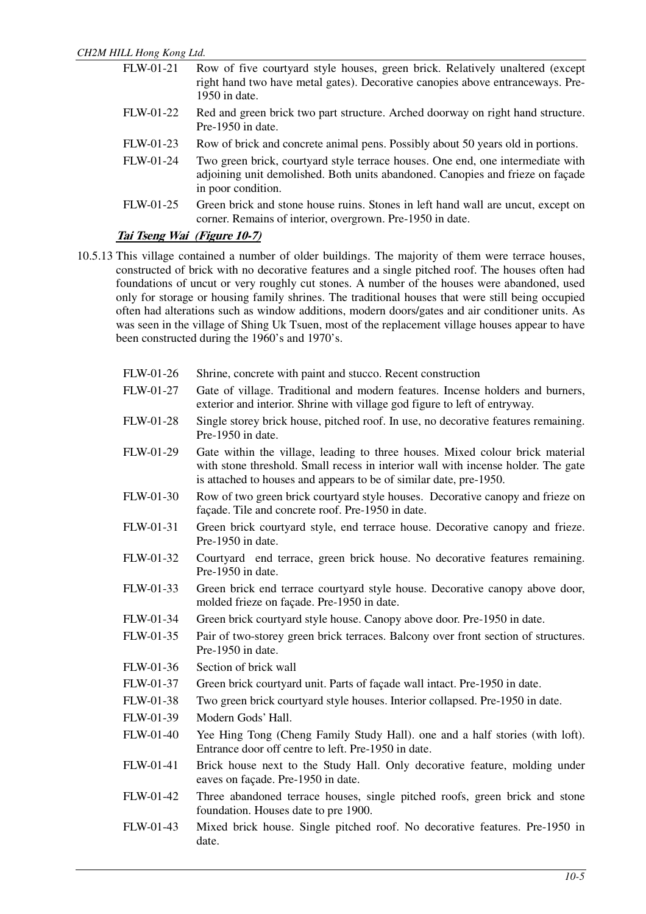FLW-01-21 Row of five courtyard style houses, green brick. Relatively unaltered (except right hand two have metal gates). Decorative canopies above entranceways. Pre-1950 in date. FLW-01-22 Red and green brick two part structure. Arched doorway on right hand structure. Pre-1950 in date. FLW-01-23 Row of brick and concrete animal pens. Possibly about 50 years old in portions. FLW-01-24 Two green brick, courtyard style terrace houses. One end, one intermediate with adjoining unit demolished. Both units abandoned. Canopies and frieze on façade in poor condition. FLW-01-25 Green brick and stone house ruins. Stones in left hand wall are uncut, except on corner. Remains of interior, overgrown. Pre-1950 in date.

## **Tai Tseng Wai (Figure 10-7)**

- 10.5.13 This village contained a number of older buildings. The majority of them were terrace houses, constructed of brick with no decorative features and a single pitched roof. The houses often had foundations of uncut or very roughly cut stones. A number of the houses were abandoned, used only for storage or housing family shrines. The traditional houses that were still being occupied often had alterations such as window additions, modern doors/gates and air conditioner units. As was seen in the village of Shing Uk Tsuen, most of the replacement village houses appear to have been constructed during the 1960's and 1970's.
	- FLW-01-26 Shrine, concrete with paint and stucco. Recent construction
	- FLW-01-27 Gate of village. Traditional and modern features. Incense holders and burners, exterior and interior. Shrine with village god figure to left of entryway.
	- FLW-01-28 Single storey brick house, pitched roof. In use, no decorative features remaining. Pre-1950 in date.
	- FLW-01-29 Gate within the village, leading to three houses. Mixed colour brick material with stone threshold. Small recess in interior wall with incense holder. The gate is attached to houses and appears to be of similar date, pre-1950.
	- FLW-01-30 Row of two green brick courtyard style houses. Decorative canopy and frieze on façade. Tile and concrete roof. Pre-1950 in date.
	- FLW-01-31 Green brick courtyard style, end terrace house. Decorative canopy and frieze. Pre-1950 in date.
	- FLW-01-32 Courtyard end terrace, green brick house. No decorative features remaining. Pre-1950 in date.
	- FLW-01-33 Green brick end terrace courtyard style house. Decorative canopy above door, molded frieze on façade. Pre-1950 in date.
	- FLW-01-34 Green brick courtyard style house. Canopy above door. Pre-1950 in date.
	- FLW-01-35 Pair of two-storey green brick terraces. Balcony over front section of structures. Pre-1950 in date.
	- FLW-01-36 Section of brick wall
	- FLW-01-37 Green brick courtyard unit. Parts of façade wall intact. Pre-1950 in date.
	- FLW-01-38 Two green brick courtyard style houses. Interior collapsed. Pre-1950 in date.
	- FLW-01-39 Modern Gods' Hall.
	- FLW-01-40 Yee Hing Tong (Cheng Family Study Hall). one and a half stories (with loft). Entrance door off centre to left. Pre-1950 in date.
	- FLW-01-41 Brick house next to the Study Hall. Only decorative feature, molding under eaves on façade. Pre-1950 in date.
	- FLW-01-42 Three abandoned terrace houses, single pitched roofs, green brick and stone foundation. Houses date to pre 1900.
	- FLW-01-43 Mixed brick house. Single pitched roof. No decorative features. Pre-1950 in date.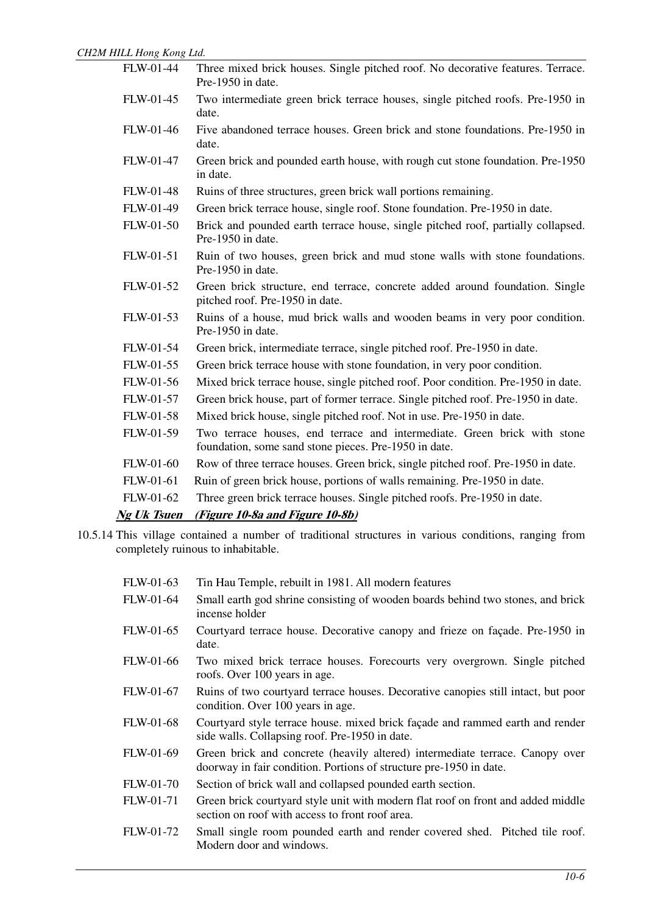| FLW-01-44          | Three mixed brick houses. Single pitched roof. No decorative features. Terrace.<br>Pre-1950 in date.                              |
|--------------------|-----------------------------------------------------------------------------------------------------------------------------------|
| FLW-01-45          | Two intermediate green brick terrace houses, single pitched roofs. Pre-1950 in<br>date.                                           |
| FLW-01-46          | Five abandoned terrace houses. Green brick and stone foundations. Pre-1950 in<br>date.                                            |
| FLW-01-47          | Green brick and pounded earth house, with rough cut stone foundation. Pre-1950<br>in date.                                        |
| FLW-01-48          | Ruins of three structures, green brick wall portions remaining.                                                                   |
| FLW-01-49          | Green brick terrace house, single roof. Stone foundation. Pre-1950 in date.                                                       |
| FLW-01-50          | Brick and pounded earth terrace house, single pitched roof, partially collapsed.<br>Pre-1950 in date.                             |
| FLW-01-51          | Ruin of two houses, green brick and mud stone walls with stone foundations.<br>Pre-1950 in date.                                  |
| FLW-01-52          | Green brick structure, end terrace, concrete added around foundation. Single<br>pitched roof. Pre-1950 in date.                   |
| FLW-01-53          | Ruins of a house, mud brick walls and wooden beams in very poor condition.<br>Pre-1950 in date.                                   |
| FLW-01-54          | Green brick, intermediate terrace, single pitched roof. Pre-1950 in date.                                                         |
| FLW-01-55          | Green brick terrace house with stone foundation, in very poor condition.                                                          |
| FLW-01-56          | Mixed brick terrace house, single pitched roof. Poor condition. Pre-1950 in date.                                                 |
| FLW-01-57          | Green brick house, part of former terrace. Single pitched roof. Pre-1950 in date.                                                 |
| FLW-01-58          | Mixed brick house, single pitched roof. Not in use. Pre-1950 in date.                                                             |
| FLW-01-59          | Two terrace houses, end terrace and intermediate. Green brick with stone<br>foundation, some sand stone pieces. Pre-1950 in date. |
| <b>FLW-01-60</b>   | Row of three terrace houses. Green brick, single pitched roof. Pre-1950 in date.                                                  |
| FLW-01-61          | Ruin of green brick house, portions of walls remaining. Pre-1950 in date.                                                         |
| FLW-01-62          | Three green brick terrace houses. Single pitched roofs. Pre-1950 in date.                                                         |
| <b>Ng Uk Tsuen</b> | (Figure 10-8a and Figure 10-8b)                                                                                                   |

10.5.14 This village contained a number of traditional structures in various conditions, ranging from completely ruinous to inhabitable.

| FLW-01-63        | Tin Hau Temple, rebuilt in 1981. All modern features                                                                                               |  |  |
|------------------|----------------------------------------------------------------------------------------------------------------------------------------------------|--|--|
| FLW-01-64        | Small earth god shrine consisting of wooden boards behind two stones, and brick<br>incense holder                                                  |  |  |
| FLW-01-65        | Courtyard terrace house. Decorative canopy and frieze on façade. Pre-1950 in<br>date.                                                              |  |  |
| FLW-01-66        | Two mixed brick terrace houses. Forecourts very overgrown. Single pitched<br>roofs. Over 100 years in age.                                         |  |  |
| FLW-01-67        | Ruins of two courtyard terrace houses. Decorative canopies still intact, but poor<br>condition. Over 100 years in age.                             |  |  |
| <b>FLW-01-68</b> | Courtyard style terrace house, mixed brick façade and rammed earth and render<br>side walls. Collapsing roof. Pre-1950 in date.                    |  |  |
| FLW-01-69        | Green brick and concrete (heavily altered) intermediate terrace. Canopy over<br>doorway in fair condition. Portions of structure pre-1950 in date. |  |  |
| <b>FLW-01-70</b> | Section of brick wall and collapsed pounded earth section.                                                                                         |  |  |
| FLW-01-71        | Green brick courtyard style unit with modern flat roof on front and added middle<br>section on roof with access to front roof area.                |  |  |
| FLW-01-72        | Small single room pounded earth and render covered shed. Pitched tile roof.<br>Modern door and windows.                                            |  |  |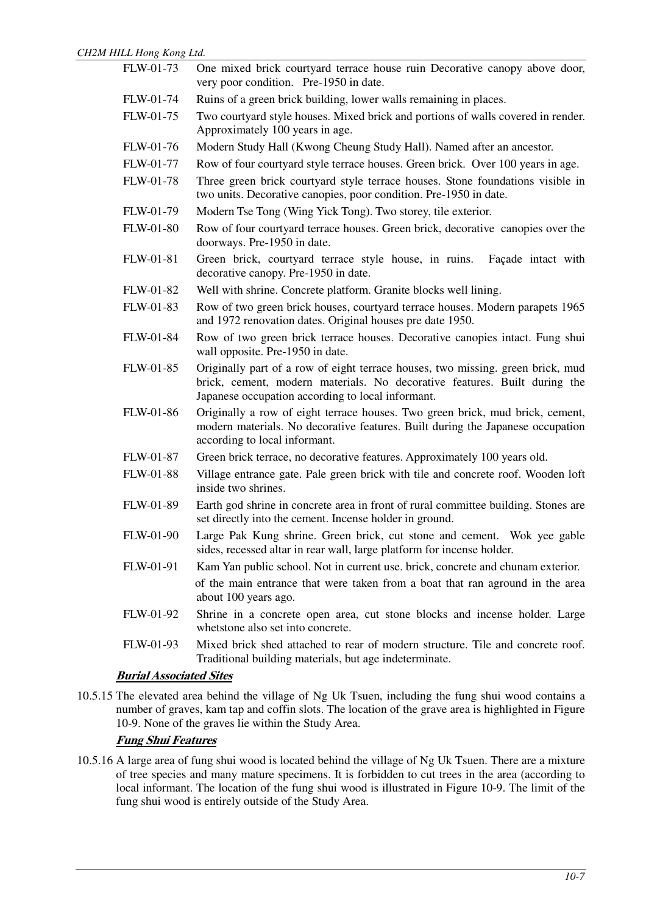| ILL Hong Kong Liu.             |                                                                                                                                                                                                                   |
|--------------------------------|-------------------------------------------------------------------------------------------------------------------------------------------------------------------------------------------------------------------|
| FLW-01-73                      | One mixed brick courtyard terrace house ruin Decorative canopy above door,<br>very poor condition. Pre-1950 in date.                                                                                              |
| FLW-01-74                      | Ruins of a green brick building, lower walls remaining in places.                                                                                                                                                 |
| FLW-01-75                      | Two courtyard style houses. Mixed brick and portions of walls covered in render.<br>Approximately 100 years in age.                                                                                               |
| FLW-01-76                      | Modern Study Hall (Kwong Cheung Study Hall). Named after an ancestor.                                                                                                                                             |
| FLW-01-77                      | Row of four courtyard style terrace houses. Green brick. Over 100 years in age.                                                                                                                                   |
| FLW-01-78                      | Three green brick courtyard style terrace houses. Stone foundations visible in<br>two units. Decorative canopies, poor condition. Pre-1950 in date.                                                               |
| FLW-01-79                      | Modern Tse Tong (Wing Yick Tong). Two storey, tile exterior.                                                                                                                                                      |
| <b>FLW-01-80</b>               | Row of four courtyard terrace houses. Green brick, decorative canopies over the<br>doorways. Pre-1950 in date.                                                                                                    |
| FLW-01-81                      | Green brick, courtyard terrace style house, in ruins.<br>Façade intact with<br>decorative canopy. Pre-1950 in date.                                                                                               |
| FLW-01-82                      | Well with shrine. Concrete platform. Granite blocks well lining.                                                                                                                                                  |
| FLW-01-83                      | Row of two green brick houses, courtyard terrace houses. Modern parapets 1965<br>and 1972 renovation dates. Original houses pre date 1950.                                                                        |
| FLW-01-84                      | Row of two green brick terrace houses. Decorative canopies intact. Fung shui<br>wall opposite. Pre-1950 in date.                                                                                                  |
| <b>FLW-01-85</b>               | Originally part of a row of eight terrace houses, two missing. green brick, mud<br>brick, cement, modern materials. No decorative features. Built during the<br>Japanese occupation according to local informant. |
| <b>FLW-01-86</b>               | Originally a row of eight terrace houses. Two green brick, mud brick, cement,<br>modern materials. No decorative features. Built during the Japanese occupation<br>according to local informant.                  |
| FLW-01-87                      | Green brick terrace, no decorative features. Approximately 100 years old.                                                                                                                                         |
| FLW-01-88                      | Village entrance gate. Pale green brick with tile and concrete roof. Wooden loft<br>inside two shrines.                                                                                                           |
| FLW-01-89                      | Earth god shrine in concrete area in front of rural committee building. Stones are<br>set directly into the cement. Incense holder in ground.                                                                     |
| <b>FLW-01-90</b>               | Large Pak Kung shrine. Green brick, cut stone and cement. Wok yee gable<br>sides, recessed altar in rear wall, large platform for incense holder.                                                                 |
| FLW-01-91                      | Kam Yan public school. Not in current use. brick, concrete and chunam exterior.                                                                                                                                   |
|                                | of the main entrance that were taken from a boat that ran aground in the area<br>about 100 years ago.                                                                                                             |
| FLW-01-92                      | Shrine in a concrete open area, cut stone blocks and incense holder. Large<br>whetstone also set into concrete.                                                                                                   |
| FLW-01-93                      | Mixed brick shed attached to rear of modern structure. Tile and concrete roof.<br>Traditional building materials, but age indeterminate.                                                                          |
| <b>Burial Associated Sites</b> |                                                                                                                                                                                                                   |
|                                |                                                                                                                                                                                                                   |

10.5.15 The elevated area behind the village of Ng Uk Tsuen, including the fung shui wood contains a number of graves, kam tap and coffin slots. The location of the grave area is highlighted in Figure 10-9. None of the graves lie within the Study Area.

## **Fung Shui Features**

10.5.16 A large area of fung shui wood is located behind the village of Ng Uk Tsuen. There are a mixture of tree species and many mature specimens. It is forbidden to cut trees in the area (according to local informant. The location of the fung shui wood is illustrated in Figure 10-9. The limit of the fung shui wood is entirely outside of the Study Area.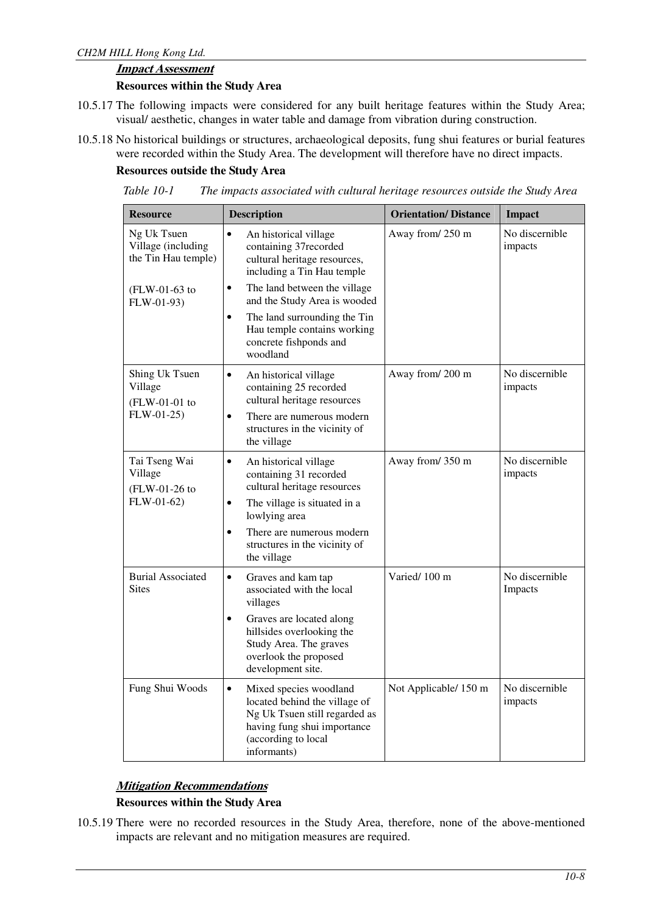#### **Impact Assessment**

#### **Resources within the Study Area**

- 10.5.17 The following impacts were considered for any built heritage features within the Study Area; visual/ aesthetic, changes in water table and damage from vibration during construction.
- 10.5.18 No historical buildings or structures, archaeological deposits, fung shui features or burial features were recorded within the Study Area. The development will therefore have no direct impacts.

#### **Resources outside the Study Area**

| Table 10-1 |  | The impacts associated with cultural heritage resources outside the Study Area |  |  |
|------------|--|--------------------------------------------------------------------------------|--|--|
|------------|--|--------------------------------------------------------------------------------|--|--|

| <b>Resource</b>                                          | <b>Description</b>                                                                                                                                                         | <b>Orientation/Distance</b> | <b>Impact</b>             |
|----------------------------------------------------------|----------------------------------------------------------------------------------------------------------------------------------------------------------------------------|-----------------------------|---------------------------|
| Ng Uk Tsuen<br>Village (including<br>the Tin Hau temple) | An historical village<br>$\bullet$<br>containing 37recorded<br>cultural heritage resources,<br>including a Tin Hau temple                                                  | Away from/250 m             | No discernible<br>impacts |
| $(FLW-01-63)$ to<br>FLW-01-93)                           | The land between the village<br>$\bullet$<br>and the Study Area is wooded                                                                                                  |                             |                           |
|                                                          | The land surrounding the Tin<br>$\bullet$<br>Hau temple contains working<br>concrete fishponds and<br>woodland                                                             |                             |                           |
| Shing Uk Tsuen<br>Village<br>(FLW-01-01 to               | $\bullet$<br>An historical village<br>containing 25 recorded<br>cultural heritage resources                                                                                | Away from/200 m             | No discernible<br>impacts |
| $FLW-01-25$                                              | There are numerous modern<br>$\bullet$<br>structures in the vicinity of<br>the village                                                                                     |                             |                           |
| Tai Tseng Wai<br>Village<br>(FLW-01-26 to                | $\bullet$<br>An historical village<br>containing 31 recorded<br>cultural heritage resources                                                                                | Away from/350 m             | No discernible<br>impacts |
| $FLW-01-62)$                                             | The village is situated in a<br>$\bullet$<br>lowlying area                                                                                                                 |                             |                           |
|                                                          | There are numerous modern<br>$\bullet$<br>structures in the vicinity of<br>the village                                                                                     |                             |                           |
| <b>Burial Associated</b><br><b>Sites</b>                 | $\bullet$<br>Graves and kam tap<br>associated with the local<br>villages                                                                                                   | Varied/100 m                | No discernible<br>Impacts |
|                                                          | Graves are located along<br>$\bullet$<br>hillsides overlooking the<br>Study Area. The graves<br>overlook the proposed<br>development site.                                 |                             |                           |
| Fung Shui Woods                                          | Mixed species woodland<br>$\bullet$<br>located behind the village of<br>Ng Uk Tsuen still regarded as<br>having fung shui importance<br>(according to local<br>informants) | Not Applicable/ 150 m       | No discernible<br>impacts |

## **Mitigation Recommendations**

## **Resources within the Study Area**

10.5.19 There were no recorded resources in the Study Area, therefore, none of the above-mentioned impacts are relevant and no mitigation measures are required.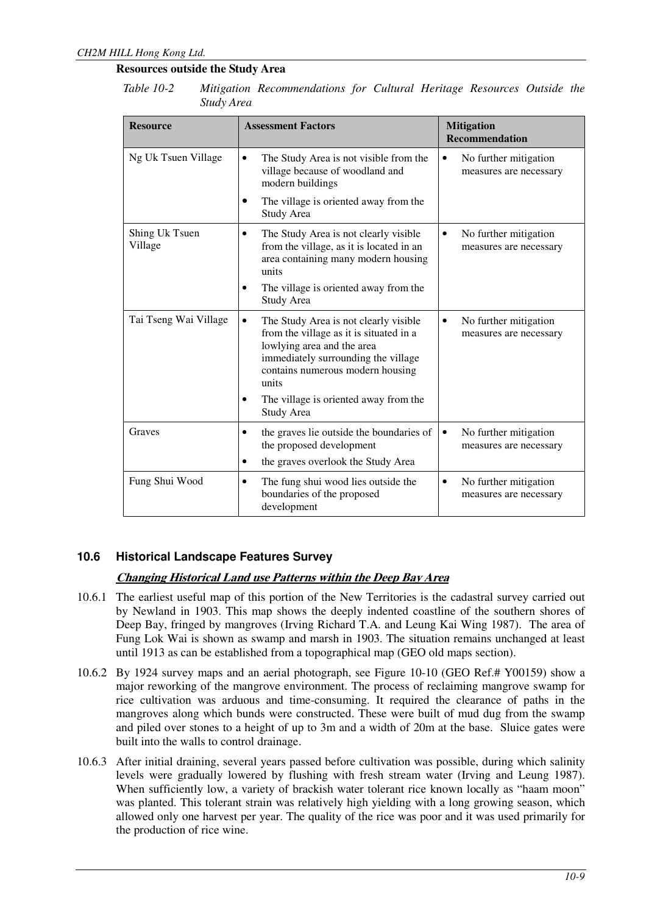## **Resources outside the Study Area**

| Table 10-2 |            | Mitigation Recommendations for Cultural Heritage Resources Outside the |  |  |  |
|------------|------------|------------------------------------------------------------------------|--|--|--|
|            | Study Area |                                                                        |  |  |  |

| <b>Resource</b>           | <b>Assessment Factors</b>                                                                                                                                                                          | <b>Mitigation</b><br><b>Recommendation</b>           |  |
|---------------------------|----------------------------------------------------------------------------------------------------------------------------------------------------------------------------------------------------|------------------------------------------------------|--|
| Ng Uk Tsuen Village       | The Study Area is not visible from the<br>village because of woodland and<br>modern buildings                                                                                                      | No further mitigation<br>measures are necessary      |  |
|                           | The village is oriented away from the<br>Study Area                                                                                                                                                |                                                      |  |
| Shing Uk Tsuen<br>Village | The Study Area is not clearly visible<br>from the village, as it is located in an<br>area containing many modern housing<br>units                                                                  | No further mitigation<br>measures are necessary      |  |
|                           | The village is oriented away from the<br>Study Area                                                                                                                                                |                                                      |  |
| Tai Tseng Wai Village     | The Study Area is not clearly visible<br>from the village as it is situated in a<br>lowlying area and the area<br>immediately surrounding the village<br>contains numerous modern housing<br>units | No further mitigation<br>measures are necessary      |  |
|                           | The village is oriented away from the<br>Study Area                                                                                                                                                |                                                      |  |
| Graves                    | the graves lie outside the boundaries of<br>$\bullet$<br>the proposed development                                                                                                                  | No further mitigation<br>٠<br>measures are necessary |  |
|                           | the graves overlook the Study Area                                                                                                                                                                 |                                                      |  |
| Fung Shui Wood            | The fung shui wood lies outside the<br>$\bullet$<br>boundaries of the proposed<br>development                                                                                                      | No further mitigation<br>٠<br>measures are necessary |  |

## **10.6 Historical Landscape Features Survey**

## **Changing Historical Land use Patterns within the Deep Bay Area**

- 10.6.1 The earliest useful map of this portion of the New Territories is the cadastral survey carried out by Newland in 1903. This map shows the deeply indented coastline of the southern shores of Deep Bay, fringed by mangroves (Irving Richard T.A. and Leung Kai Wing 1987). The area of Fung Lok Wai is shown as swamp and marsh in 1903. The situation remains unchanged at least until 1913 as can be established from a topographical map (GEO old maps section).
- 10.6.2 By 1924 survey maps and an aerial photograph, see Figure 10-10 (GEO Ref.# Y00159) show a major reworking of the mangrove environment. The process of reclaiming mangrove swamp for rice cultivation was arduous and time-consuming. It required the clearance of paths in the mangroves along which bunds were constructed. These were built of mud dug from the swamp and piled over stones to a height of up to 3m and a width of 20m at the base. Sluice gates were built into the walls to control drainage.
- 10.6.3 After initial draining, several years passed before cultivation was possible, during which salinity levels were gradually lowered by flushing with fresh stream water (Irving and Leung 1987). When sufficiently low, a variety of brackish water tolerant rice known locally as "haam moon" was planted. This tolerant strain was relatively high yielding with a long growing season, which allowed only one harvest per year. The quality of the rice was poor and it was used primarily for the production of rice wine.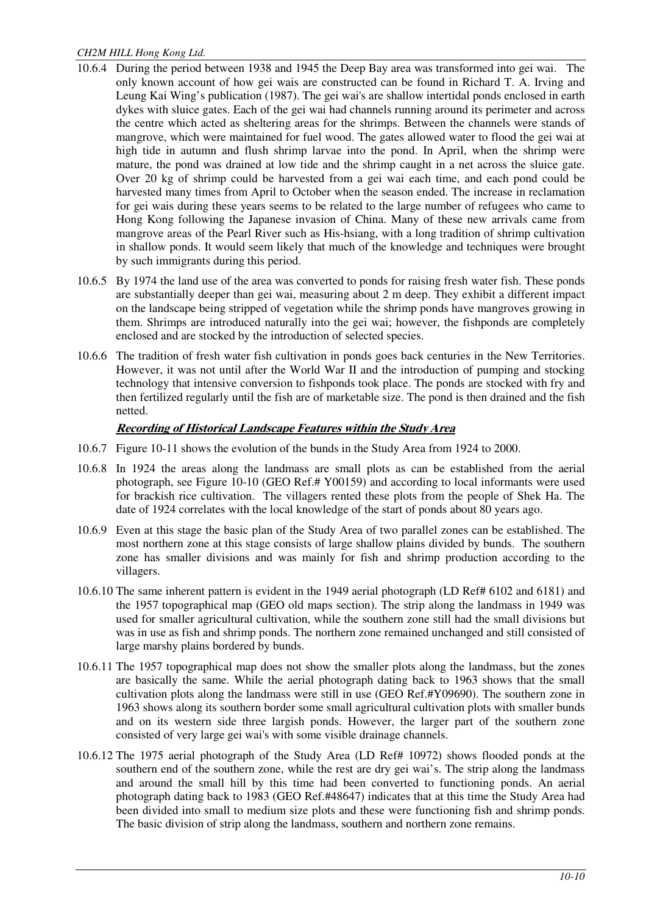- 10.6.4 During the period between 1938 and 1945 the Deep Bay area was transformed into gei wai. The only known account of how gei wais are constructed can be found in Richard T. A. Irving and Leung Kai Wing's publication (1987). The gei wai's are shallow intertidal ponds enclosed in earth dykes with sluice gates. Each of the gei wai had channels running around its perimeter and across the centre which acted as sheltering areas for the shrimps. Between the channels were stands of mangrove, which were maintained for fuel wood. The gates allowed water to flood the gei wai at high tide in autumn and flush shrimp larvae into the pond. In April, when the shrimp were mature, the pond was drained at low tide and the shrimp caught in a net across the sluice gate. Over 20 kg of shrimp could be harvested from a gei wai each time, and each pond could be harvested many times from April to October when the season ended. The increase in reclamation for gei wais during these years seems to be related to the large number of refugees who came to Hong Kong following the Japanese invasion of China. Many of these new arrivals came from mangrove areas of the Pearl River such as His-hsiang, with a long tradition of shrimp cultivation in shallow ponds. It would seem likely that much of the knowledge and techniques were brought by such immigrants during this period.
- 10.6.5 By 1974 the land use of the area was converted to ponds for raising fresh water fish. These ponds are substantially deeper than gei wai, measuring about 2 m deep. They exhibit a different impact on the landscape being stripped of vegetation while the shrimp ponds have mangroves growing in them. Shrimps are introduced naturally into the gei wai; however, the fishponds are completely enclosed and are stocked by the introduction of selected species.
- 10.6.6 The tradition of fresh water fish cultivation in ponds goes back centuries in the New Territories. However, it was not until after the World War II and the introduction of pumping and stocking technology that intensive conversion to fishponds took place. The ponds are stocked with fry and then fertilized regularly until the fish are of marketable size. The pond is then drained and the fish netted.

#### **Recording of Historical Landscape Features within the Study Area**

- 10.6.7 Figure 10-11 shows the evolution of the bunds in the Study Area from 1924 to 2000.
- 10.6.8 In 1924 the areas along the landmass are small plots as can be established from the aerial photograph, see Figure 10-10 (GEO Ref.# Y00159) and according to local informants were used for brackish rice cultivation. The villagers rented these plots from the people of Shek Ha. The date of 1924 correlates with the local knowledge of the start of ponds about 80 years ago.
- 10.6.9 Even at this stage the basic plan of the Study Area of two parallel zones can be established. The most northern zone at this stage consists of large shallow plains divided by bunds. The southern zone has smaller divisions and was mainly for fish and shrimp production according to the villagers.
- 10.6.10 The same inherent pattern is evident in the 1949 aerial photograph (LD Ref# 6102 and 6181) and the 1957 topographical map (GEO old maps section). The strip along the landmass in 1949 was used for smaller agricultural cultivation, while the southern zone still had the small divisions but was in use as fish and shrimp ponds. The northern zone remained unchanged and still consisted of large marshy plains bordered by bunds.
- 10.6.11 The 1957 topographical map does not show the smaller plots along the landmass, but the zones are basically the same. While the aerial photograph dating back to 1963 shows that the small cultivation plots along the landmass were still in use (GEO Ref.#Y09690). The southern zone in 1963 shows along its southern border some small agricultural cultivation plots with smaller bunds and on its western side three largish ponds. However, the larger part of the southern zone consisted of very large gei wai's with some visible drainage channels.
- 10.6.12 The 1975 aerial photograph of the Study Area (LD Ref# 10972) shows flooded ponds at the southern end of the southern zone, while the rest are dry gei wai's. The strip along the landmass and around the small hill by this time had been converted to functioning ponds. An aerial photograph dating back to 1983 (GEO Ref.#48647) indicates that at this time the Study Area had been divided into small to medium size plots and these were functioning fish and shrimp ponds. The basic division of strip along the landmass, southern and northern zone remains.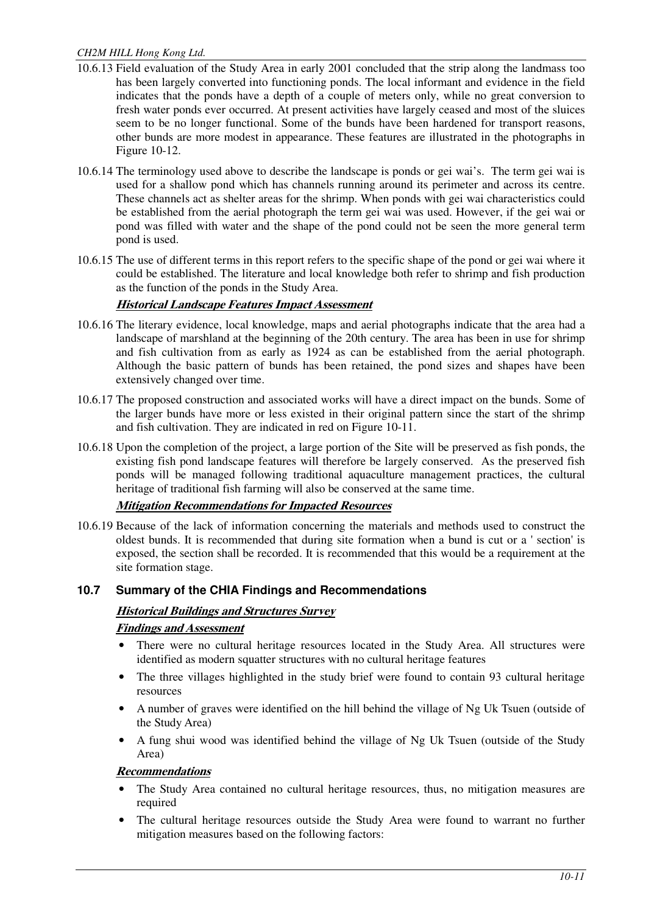- 10.6.13 Field evaluation of the Study Area in early 2001 concluded that the strip along the landmass too has been largely converted into functioning ponds. The local informant and evidence in the field indicates that the ponds have a depth of a couple of meters only, while no great conversion to fresh water ponds ever occurred. At present activities have largely ceased and most of the sluices seem to be no longer functional. Some of the bunds have been hardened for transport reasons, other bunds are more modest in appearance. These features are illustrated in the photographs in Figure 10-12.
- 10.6.14 The terminology used above to describe the landscape is ponds or gei wai's. The term gei wai is used for a shallow pond which has channels running around its perimeter and across its centre. These channels act as shelter areas for the shrimp. When ponds with gei wai characteristics could be established from the aerial photograph the term gei wai was used. However, if the gei wai or pond was filled with water and the shape of the pond could not be seen the more general term pond is used.
- 10.6.15 The use of different terms in this report refers to the specific shape of the pond or gei wai where it could be established. The literature and local knowledge both refer to shrimp and fish production as the function of the ponds in the Study Area.

## **Historical Landscape Features Impact Assessment**

- 10.6.16 The literary evidence, local knowledge, maps and aerial photographs indicate that the area had a landscape of marshland at the beginning of the 20th century. The area has been in use for shrimp and fish cultivation from as early as 1924 as can be established from the aerial photograph. Although the basic pattern of bunds has been retained, the pond sizes and shapes have been extensively changed over time.
- 10.6.17 The proposed construction and associated works will have a direct impact on the bunds. Some of the larger bunds have more or less existed in their original pattern since the start of the shrimp and fish cultivation. They are indicated in red on Figure 10-11.
- 10.6.18 Upon the completion of the project, a large portion of the Site will be preserved as fish ponds, the existing fish pond landscape features will therefore be largely conserved. As the preserved fish ponds will be managed following traditional aquaculture management practices, the cultural heritage of traditional fish farming will also be conserved at the same time.

## **Mitigation Recommendations for Impacted Resources**

10.6.19 Because of the lack of information concerning the materials and methods used to construct the oldest bunds. It is recommended that during site formation when a bund is cut or a 'section'is exposed, the section shall be recorded. It is recommended that this would be a requirement at the site formation stage.

## **10.7 Summary of the CHIA Findings and Recommendations**

# **Historical Buildings and Structures Survey**

## **Findings and Assessment**

- There were no cultural heritage resources located in the Study Area. All structures were identified as modern squatter structures with no cultural heritage features
- The three villages highlighted in the study brief were found to contain 93 cultural heritage resources
- A number of graves were identified on the hill behind the village of Ng Uk Tsuen (outside of the Study Area)
- A fung shui wood was identified behind the village of Ng Uk Tsuen (outside of the Study Area)

## **Recommendations**

- The Study Area contained no cultural heritage resources, thus, no mitigation measures are required
- The cultural heritage resources outside the Study Area were found to warrant no further mitigation measures based on the following factors: